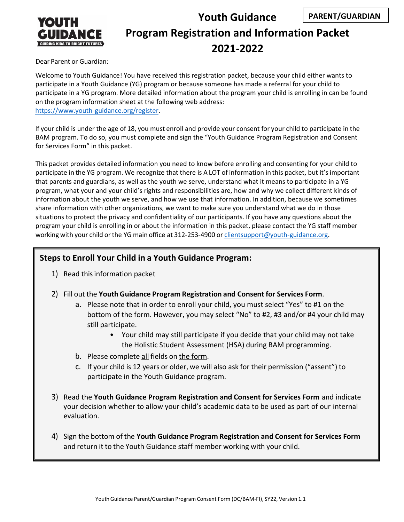

# **Youth Guidance Program Registration and Information Packet 2021-2022 PARENT/GUARDIAN**

Dear Parent or Guardian:

Welcome to Youth Guidance! You have received this registration packet, because your child either wants to participate in a Youth Guidance (YG) program or because someone has made a referral for your child to participate in a YG program. More detailed information about the program your child is enrolling in can be found on the program information sheet at the following web address: [https://www.youth-guidance.org/register.](https://www.youth-guidance.org/register)

If your child is under the age of 18, you must enroll and provide your consent for your child to participate in the BAM program. To do so, you must complete and sign the "Youth Guidance Program Registration and Consent for Services Form" in this packet.

This packet provides detailed information you need to know before enrolling and consenting for your child to participate in the YG program. We recognize that there is A LOT of information in this packet, but it's important that parents and guardians, as well as the youth we serve, understand what it means to participate in a YG program, what your and your child's rights and responsibilities are, how and why we collect different kinds of information about the youth we serve, and how we use that information. In addition, because we sometimes share information with other organizations, we want to make sure you understand what we do in those situations to protect the privacy and confidentiality of our participants. If you have any questions about the program your child is enrolling in or about the information in this packet, please contact the YG staff member working with your child or the YG main office at 312-253-4900 or [clientsupport@youth-guidance.org.](mailto:clientsupport@youth-guidance.org)

## **Steps to Enroll Your Child in a Youth Guidance Program:**

- 1) Read thisinformation packet
- 2) Fill out the **Youth Guidance Program Registration and Consent for Services Form**.
	- a. Please note that in order to enroll your child, you must select "Yes" to #1 on the bottom of the form. However, you may select "No" to #2, #3 and/or #4 your child may still participate.
		- Your child may still participate if you decide that your child may not take the Holistic Student Assessment (HSA) during BAM programming.
	- b. Please complete all fields on the form.
	- c. If your child is 12 years or older, we will also ask for their permission ("assent") to participate in the Youth Guidance program.
- 3) Read the **Youth Guidance Program Registration and Consent for Services Form** and indicate your decision whether to allow your child's academic data to be used as part of our internal evaluation.
- 4) Sign the bottom of the **Youth Guidance Program Registration and Consent for Services Form** and return it to the Youth Guidance staff member working with your child.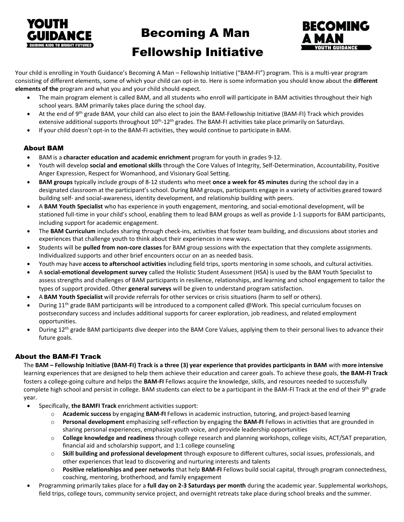

# Becoming A Man



# Fellowship Initiative

Your child is enrolling in Youth Guidance's Becoming A Man – Fellowship Initiative ("BAM-FI") program. This is a multi-year program consisting of different elements, some of which your child can opt-in to. Here is some information you should know about the **different elements of the** program and what you and your child should expect.

- The main program element is called BAM, and all students who enroll will participate in BAM activities throughout their high school years. BAM primarily takes place during the school day.
- At the end of 9<sup>th</sup> grade BAM, your child can also elect to join the BAM-Fellowship Initiative (BAM-FI) Track which provides extensive additional supports throughout 10<sup>th</sup>-12<sup>th</sup> grades. The BAM-FI activities take place primarily on Saturdays.
- If your child doesn't opt-in to the BAM-FI activities, they would continue to participate in BAM.

## About BAM

- BAM is a **character education and academic enrichment** program for youth in grades 9-12.
- Youth will develop **social and emotional skills** through the Core Values of Integrity, Self-Determination, Accountability, Positive Anger Expression, Respect for Womanhood, and Visionary Goal Setting.
- **BAM groups** typically include groups of 8-12 students who meet **once a week for 45 minutes** during the school day in a designated classroom at the participant's school. During BAM groups, participants engage in a variety of activities geared toward building self- and social-awareness, identity development, and relationship building with peers.
- A **BAM Youth Specialist** who has experience in youth engagement, mentoring, and social-emotional development, will be stationed full-time in your child's school, enabling them to lead BAM groups as well as provide 1-1 supports for BAM participants, including support for academic engagement.
- The **BAM Curriculum** includes sharing through check-ins, activities that foster team building, and discussions about stories and experiences that challenge youth to think about their experiences in new ways.
- Students will be **pulled from non-core classes** for BAM group sessions with the expectation that they complete assignments. Individualized supports and other brief encounters occur on an as needed basis.
- Youth may have **access to afterschool activities** including field trips, sports mentoring in some schools, and cultural activities.
- A **social-emotional development survey** called the Holistic Student Assessment (HSA) is used by the BAM Youth Specialist to assess strengths and challenges of BAM participants in resilience, relationships, and learning and school engagement to tailor the types of support provided. Other **general surveys** will be given to understand program satisfaction.
- A **BAM Youth Specialist** will provide referrals for other services or crisis situations (harm to self or others).
- During 11<sup>th</sup> grade BAM participants will be introduced to a component called @Work. This special curriculum focuses on postsecondary success and includes additional supports for career exploration, job readiness, and related employment opportunities.
- During 12<sup>th</sup> grade BAM participants dive deeper into the BAM Core Values, applying them to their personal lives to advance their future goals.

## About the BAM-FI Track

The **BAM – Fellowship Initiative (BAM-FI) Track is a three (3) year experience that provides participants in BAM** with **more intensive** learning experiences that are designed to help them achieve their education and career goals. To achieve these goals, **the BAM-FI Track** fosters a college-going culture and helps the **BAM-FI** Fellows acquire the knowledge, skills, and resources needed to successfully complete high school and persist in college. BAM students can elect to be a participant in the BAM-FI Track at the end of their 9<sup>th</sup> grade year.

- Specifically, **the BAMFI Track** enrichment activities support:
	- o **Academic success** by engaging **BAM-FI** Fellows in academic instruction, tutoring, and project-based learning
	- o **Personal development** emphasizing self-reflection by engaging the **BAM-FI** Fellows in activities that are grounded in sharing personal experiences, emphasize youth voice, and provide leadership opportunities
	- o **College knowledge and readiness** through college research and planning workshops, college visits, ACT/SAT preparation, financial aid and scholarship support, and 1:1 college counseling
	- o **Skill building and professional development** through exposure to different cultures, social issues, professionals, and other experiences that lead to discovering and nurturing interests and talents
	- o **Positive relationships and peer networks** that help **BAM-FI** Fellows build social capital, through program connectedness, coaching, mentoring, brotherhood, and family engagement
- Programming primarily takes place for a **full day on 2-3 Saturdays per month** during the academic year. Supplemental workshops, field trips, college tours, community service project, and overnight retreats take place during school breaks and the summer.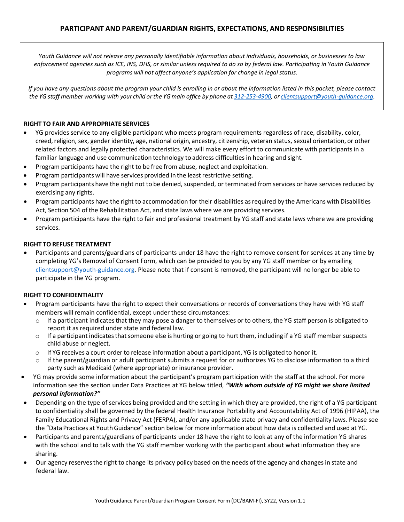*Youth Guidance will not release any personally identifiable information about individuals, households, or businesses to law enforcement agencies such as ICE, INS, DHS, or similar unless required to do so by federal law. Participating in Youth Guidance programs will not affect anyone's application for change in legal status.*

*If you have any questions about the program your child is enrolling in or about the information listed in this packet, please contact* the YG staff member working with your child or the YG main office by phone at 312-253-4900, or clientsupport@youth-quidance.org.

#### **RIGHT TO FAIR AND APPROPRIATE SERVICES**

- YG provides service to any eligible participant who meets program requirements regardless of race, disability, color, creed, religion, sex, gender identity, age, national origin, ancestry, citizenship, veteran status, sexual orientation, or other related factors and legally protected characteristics. We will make every effort to communicate with participants in a familiar language and use communication technology to address difficulties in hearing and sight.
- Program participants have the right to be free from abuse, neglect and exploitation.
- Program participants will have services provided in the least restrictive setting.
- Program participants have the right not to be denied, suspended, or terminated from services or have services reduced by exercising any rights.
- Program participants have the right to accommodation for their disabilities asrequired by the Americans with Disabilities Act, Section 504 of the Rehabilitation Act, and state laws where we are providing services.
- Program participants have the right to fair and professional treatment by YG staff and state laws where we are providing services.

#### **RIGHT TO REFUSE TREATMENT**

• Participants and parents/guardians of participants under 18 have the right to remove consent for services at any time by completing YG's Removal of Consent Form, which can be provided to you by any YG staff member or by emailing  $\alpha$  [clientsupport@youth-guidance.org. P](mailto:clientsupport@youth-guidance.org)lease note that if consent is removed, the participant will no longer be able to participate in the YG program.

#### **RIGHT TO CONFIDENTIALITY**

- Program participants have the right to expect their conversations or records of conversations they have with YG staff members will remain confidential, except under these circumstances:
	- $\circ$  If a participant indicates that they may pose a danger to themselves or to others, the YG staff person is obligated to report it as required under state and federal law.
	- $\circ$  If a participant indicates that someone else is hurting or going to hurt them, including if a YG staff member suspects child abuse or neglect.
	- $\circ$  If YG receives a court order to release information about a participant, YG is obligated to honor it.
	- $\circ$  If the parent/guardian or adult participant submits a request for or authorizes YG to disclose information to a third party such as Medicaid (where appropriate) or insurance provider.
- YG may provide some information about the participant's program participation with the staff at the school. For more information see the section under Data Practices at YG below titled, *"With whom outside of YG might we share limited personal information?"*
- Depending on the type of services being provided and the setting in which they are provided, the right of a YG participant to confidentiality shall be governed by the federal Health Insurance Portability and Accountability Act of 1996 (HIPAA), the Family Educational Rights and Privacy Act (FERPA), and/or any applicable state privacy and confidentiality laws. Please see the "Data Practices at YouthGuidance" section below for more information about how data is collected and used at YG.
- Participants and parents/guardians of participants under 18 have the right to look at any of the information YG shares with the school and to talk with the YG staff member working with the participant about what information they are sharing.
- Our agency reservesthe right to change its privacy policy based on the needs of the agency and changesin state and federal law.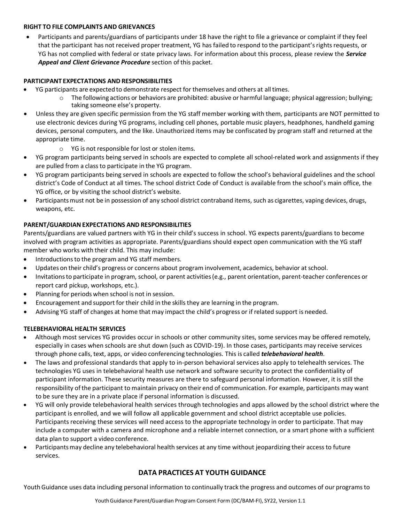#### **RIGHT TO FILE COMPLAINTS AND GRIEVANCES**

• Participants and parents/guardians of participants under 18 have the right to file a grievance or complaint if they feel that the participant has not received proper treatment, YG has failed to respond to the participant's rights requests, or YG has not complied with federal or state privacy laws. For information about this process, please review the *Service Appeal and Client Grievance Procedure* section of this packet.

#### **PARTICIPANT EXPECTATIONS AND RESPONSIBILITIES**

- YG participants are expected to demonstrate respect for themselves and others at all times.
	- o The following actions or behaviors are prohibited: abusive or harmful language; physical aggression; bullying; taking someone else's property.
- Unless they are given specific permission from the YG staff member working with them, participants are NOT permitted to use electronic devices during YG programs, including cell phones, portable music players, headphones, handheld gaming devices, personal computers, and the like. Unauthorized items may be confiscated by program staff and returned at the appropriate time.
	- o YG is not responsible for lost or stolen items.
- YG program participants being served in schools are expected to complete all school-related work and assignments if they are pulled from a classto participate in the YG program.
- YG program participants being served in schools are expected to follow the school's behavioral guidelines and the school district's Code of Conduct at all times. The school district Code of Conduct is available from the school's main office, the YG office, or by visiting the school district's website.
- Participants must not be in possession of any school district contraband items, such as cigarettes, vaping devices, drugs, weapons, etc.

## **PARENT/GUARDIANEXPECTATIONS AND RESPONSIBILITIES**

Parents/guardians are valued partners with YG in their child's success in school. YG expects parents/guardians to become involved with program activities as appropriate. Parents/guardians should expect open communication with the YG staff member who works with their child. This may include:

- Introductions to the program and YG staff members.
- Updates on their child's progress or concerns about program involvement, academics, behavior at school.
- Invitationsto participate in program, school, or parent activities(e.g., parent orientation, parent-teacher conferences or report card pickup, workshops, etc.).
- Planning for periods when school is not in session.
- Encouragement and support for their child in the skills they are learning in the program.
- Advising YG staff of changes at home that may impact the child's progress or if related support is needed.

#### **TELEBEHAVIORAL HEALTH SERVICES**

- Although most services YG provides occur in schools or other community sites, some services may be offered remotely, especially in cases when schools are shut down (such as COVID-19). In those cases, participants may receive services through phone calls, text, apps, or video conferencing technologies. This is called *telebehavioral health*.
- The laws and professional standards that apply to in-person behavioral services also apply to telehealth services. The technologies YG uses in telebehavioral health use network and software security to protect the confidentiality of participant information. These security measures are there to safeguard personal information. However, it is still the responsibility of the participant to maintain privacy on their end of communication. For example, participants may want to be sure they are in a private place if personal information is discussed.
- YG will only provide telebehavioral health services through technologies and apps allowed by the school district where the participant is enrolled, and we will follow all applicable government and school district acceptable use policies. Participants receiving these services will need access to the appropriate technology in order to participate. That may include a computer with a camera and microphone and a reliable internet connection, or a smart phone with a sufficient data plan to support a video conference.
- Participants may decline any telebehavioral health services at any time without jeopardizing their access to future services.

## **DATA PRACTICES AT YOUTH GUIDANCE**

Youth Guidance uses data including personal information to continually track the progress and outcomes of our programs to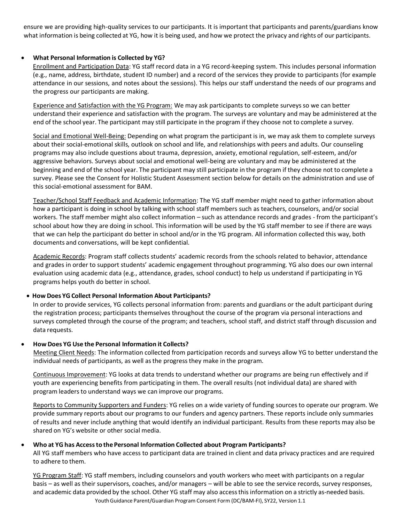ensure we are providing high-quality services to our participants. It is important that participants and parents/guardians know what information is being collected at YG, how it is being used, and how we protect the privacy and rights of our participants.

#### • **What Personal Information is Collected by YG?**

Enrollment and Participation Data: YG staff record data in a YG record-keeping system. This includes personal information (e.g., name, address, birthdate, student ID number) and a record of the services they provide to participants (for example attendance in our sessions, and notes about the sessions). This helps our staff understand the needs of our programs and the progress our participants are making.

Experience and Satisfaction with the YG Program: We may ask participants to complete surveys so we can better understand their experience and satisfaction with the program. The surveys are voluntary and may be administered at the end of the school year. The participant may still participate in the program if they choose not to complete a survey.

Social and Emotional Well-Being: Depending on what program the participant is in, we may ask them to complete surveys about their social-emotional skills, outlook on school and life, and relationships with peers and adults. Our counseling programs may also include questions about trauma, depression, anxiety, emotional regulation, self-esteem, and/or aggressive behaviors. Surveys about social and emotional well-being are voluntary and may be administered at the beginning and end of the school year. The participant may still participate in the program if they choose not to complete a survey. Please see the Consent for Holistic Student Assessment section below for details on the administration and use of this social-emotional assessment for BAM.

Teacher/School Staff Feedback and Academic Information: The YG staff member might need to gather information about how a participant is doing in school by talking with school staff members such as teachers, counselors, and/or social workers. The staff member might also collect information – such as attendance records and grades - from the participant's school about how they are doing in school. This information will be used by the YG staff member to see if there are ways that we can help the participant do better in school and/or in the YG program. All information collected this way, both documents and conversations, will be kept confidential.

Academic Records: Program staff collects students' academic records from the schools related to behavior, attendance and grades in order to support students' academic engagement throughout programming. YG also does our own internal evaluation using academic data (e.g., attendance, grades, school conduct) to help us understand if participating in YG programs helps youth do better in school.

#### • **How Does YG Collect Personal Information About Participants?**

In order to provide services, YG collects personal information from: parents and guardians or the adult participant during the registration process; participants themselves throughout the course of the program via personal interactions and surveys completed through the course of the program; and teachers, school staff, and district staff through discussion and data requests.

#### • **How Does YG Use the Personal Information it Collects?**

Meeting Client Needs: The information collected from participation records and surveys allow YG to better understand the individual needs of participants, as well asthe progressthey make in the program.

Continuous Improvement: YG looks at data trends to understand whether our programs are being run effectively and if youth are experiencing benefits from participating in them. The overall results (not individual data) are shared with program leaders to understand ways we can improve our programs.

Reports to Community Supporters and Funders: YG relies on a wide variety of funding sources to operate our program. We provide summary reports about our programs to our funders and agency partners. These reports include only summaries of results and never include anything that would identify an individual participant. Results from these reports may also be shared on YG's website or other social media.

## • **Who at YG has Accessto the Personal Information Collected about Program Participants?**

All YG staff members who have access to participant data are trained in client and data privacy practices and are required to adhere to them.

Youth Guidance Parent/Guardian Program Consent Form (DC/BAM-FI), SY22, Version 1.1 YG Program Staff: YG staff members, including counselors and youth workers who meet with participants on a regular basis – as well as their supervisors, coaches, and/or managers – will be able to see the service records, survey responses, and academic data provided by the school. Other YG staff may also accessthisinformation on a strictly as-needed basis.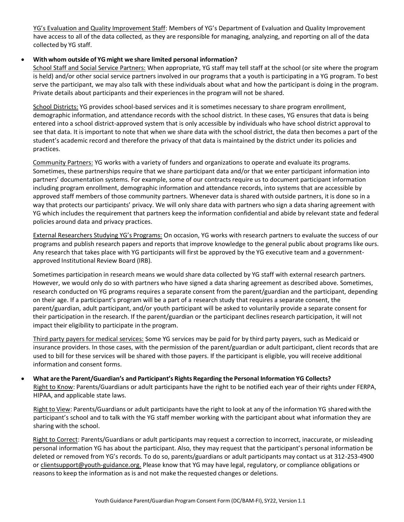YG's Evaluation and Quality Improvement Staff: Members of YG's Department of Evaluation and Quality Improvement have access to all of the data collected, as they are responsible for managing, analyzing, and reporting on all of the data collected by YG staff.

#### • **With whom outside of YG might we share limited personal information?**

School Staff and Social Service Partners: When appropriate, YG staff may tell staff at the school (or site where the program is held) and/or other social service partners involved in our programs that a youth is participating in a YG program. To best serve the participant, we may also talk with these individuals about what and how the participant is doing in the program. Private details about participants and their experiencesin the program will not be shared.

School Districts: YG provides school-based services and it is sometimes necessary to share program enrollment, demographic information, and attendance records with the school district. In these cases, YG ensures that data is being entered into a school district-approved system that is only accessible by individuals who have school district approval to see that data. It is important to note that when we share data with the school district, the data then becomes a part of the student's academic record and therefore the privacy of that data is maintained by the district under its policies and practices.

Community Partners: YG works with a variety of funders and organizations to operate and evaluate its programs. Sometimes, these partnerships require that we share participant data and/or that we enter participant information into partners' documentation systems. For example, some of our contracts require us to document participant information including program enrollment, demographic information and attendance records, into systems that are accessible by approved staff members of those community partners. Whenever data is shared with outside partners, it is done so in a way that protects our participants' privacy. We will only share data with partners who sign a data sharing agreement with YG which includes the requirement that partners keep the information confidential and abide by relevant state and federal policies around data and privacy practices.

External Researchers Studying YG's Programs: On occasion, YG works with research partners to evaluate the success of our programs and publish research papers and reports that improve knowledge to the general public about programs like ours. Any research that takes place with YG participants will first be approved by the YG executive team and a governmentapproved Institutional Review Board (IRB).

Sometimes participation in research means we would share data collected by YG staff with external research partners. However, we would only do so with partners who have signed a data sharing agreement as described above. Sometimes, research conducted on YG programs requires a separate consent from the parent/guardian and the participant, depending on their age. If a participant's program will be a part of a research study that requires a separate consent, the parent/guardian, adult participant, and/or youth participant will be asked to voluntarily provide a separate consent for their participation in the research. If the parent/guardian or the participant declines research participation, it will not impact their eligibility to participate in the program.

Third party payers for medical services: Some YG services may be paid for by third party payers, such as Medicaid or insurance providers. In those cases, with the permission of the parent/guardian or adult participant, client records that are used to bill for these services will be shared with those payers. If the participant is eligible, you will receive additional information and consent forms.

• **What are the Parent/Guardian's and Participant's Rights Regarding the Personal Information YG Collects?** Right to Know: Parents/Guardians or adult participants have the right to be notified each year of their rights under FERPA, HIPAA, and applicable state laws.

Right to View: Parents/Guardians or adult participants have the right to look at any of the information YG shared with the participant's school and to talk with the YG staff member working with the participant about what information they are sharing with the school.

Right to Correct: Parents/Guardians or adult participants may request a correction to incorrect, inaccurate, or misleading personal information YG has about the participant. Also, they may request that the participant's personal information be deleted or removed from YG's records. To do so, parents/guardians or adult participants may contact us at 312-253-4900 o[r clientsupport@youth-guidance.org.](mailto:clientsupport@youth-guidance.org) Please know that YG may have legal, regulatory, or compliance obligations or reasonsto keep the information as is and not make the requested changes or deletions.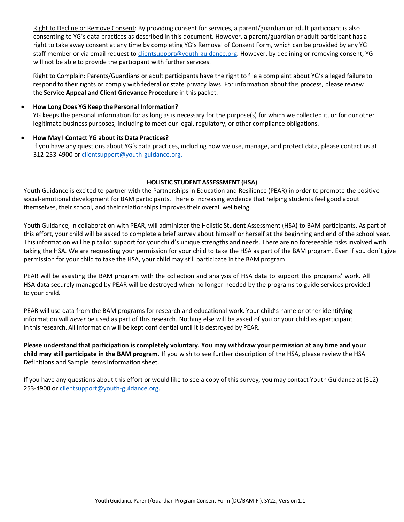Right to Decline or Remove Consent: By providing consent for services, a parent/guardian or adult participant is also consenting to YG's data practices as described in this document. However, a parent/guardian or adult participant has a right to take away consent at any time by completing YG's Removal of Consent Form, which can be provided by any YG staff member or via email request to [clientsupport@youth-guidance.org. H](mailto:clientsupport@youth-guidance.org)owever, by declining or removing consent, YG will not be able to provide the participant with further services.

Right to Complain: Parents/Guardians or adult participants have the right to file a complaint about YG's alleged failure to respond to their rights or comply with federal or state privacy laws. For information about this process, please review the **Service Appeal and Client Grievance Procedure** in this packet.

#### • **How Long Does YG Keep the Personal Information?**

YG keeps the personal information for as long as is necessary for the purpose(s) for which we collected it, or for our other legitimate business purposes, including to meet our legal, regulatory, or other compliance obligations.

#### • **How May I Contact YG about its Data Practices?**

If you have any questions about YG's data practices, including how we use, manage, and protect data, please contact us at 312-253-4900 or [clientsupport@youth-guidance.org.](mailto:clientsupport@youth-guidance.org)

#### **HOLISTIC STUDENT ASSESSMENT (HSA)**

Youth Guidance is excited to partner with the Partnerships in Education and Resilience (PEAR) in order to promote the positive social-emotional development for BAM participants. There is increasing evidence that helping students feel good about themselves, their school, and their relationships improvestheir overall wellbeing.

Youth Guidance, in collaboration with PEAR, will administer the Holistic Student Assessment (HSA) to BAM participants. As part of this effort, your child will be asked to complete a brief survey about himself or herself at the beginning and end of the school year. This information will help tailor support for your child's unique strengths and needs. There are no foreseeable risks involved with taking the HSA. We are requesting your permission for your child to take the HSA as part of the BAM program. Even if you don't give permission for your child to take the HSA, your child may still participate in the BAM program.

PEAR will be assisting the BAM program with the collection and analysis of HSA data to support this programs' work. All HSA data securely managed by PEAR will be destroyed when no longer needed by the programs to guide services provided to your child.

PEAR will use data from the BAM programs for research and educational work. Your child's name or other identifying information will *never* be used as part of this research. Nothing else will be asked of you or your child as aparticipant in this research. All information will be kept confidential until it is destroyed by PEAR.

**Please understand that participation is completely voluntary. You may withdraw your permission at any time and your child may still participate in the BAM program.** If you wish to see further description of the HSA, please review the HSA Definitions and Sample Itemsinformation sheet.

If you have any questions about this effort or would like to see a copy of this survey, you may contact Youth Guidance at (312) 253-4900 or [clientsupport@youth-guidance.org.](https://clientsupport@youth-guidance.org/)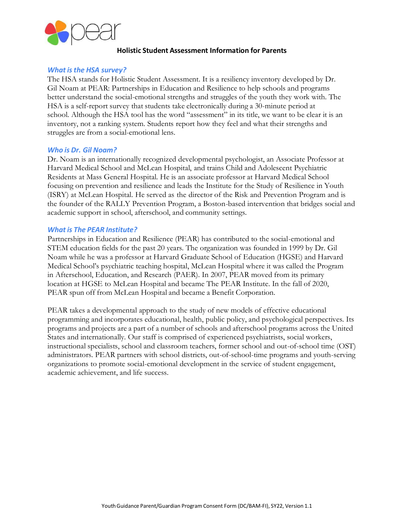

## **Holistic Student Assessment Information for Parents**

#### *What isthe HSA survey?*

The HSA stands for Holistic Student Assessment. It is a resiliency inventory developed by Dr. Gil Noam at PEAR: Partnerships in Education and Resilience to help schools and programs better understand the social-emotional strengths and struggles of the youth they work with. The HSA is a self-report survey that students take electronically during a 30-minute period at school. Although the HSA tool has the word "assessment" in its title, we want to be clear it is an inventory, not a ranking system. Students report how they feel and what their strengths and struggles are from a social-emotional lens.

#### *Who is Dr. Gil Noam?*

Dr. Noam is an internationally recognized developmental psychologist, an Associate Professor at Harvard Medical School and McLean Hospital, and trains Child and Adolescent Psychiatric Residents at Mass General Hospital. He is an associate professor at Harvard Medical School focusing on prevention and resilience and leads the Institute for the Study of Resilience in Youth (ISRY) at McLean Hospital. He served as the director of the Risk and Prevention Program and is the founder of the RALLY Prevention Program, a Boston-based intervention that bridges social and academic support in school, afterschool, and community settings.

## *What is The PEAR Institute?*

Partnerships in Education and Resilience (PEAR) has contributed to the social-emotional and STEM education fields for the past 20 years. The organization was founded in 1999 by Dr. Gil Noam while he was a professor at Harvard Graduate School of Education (HGSE) and Harvard Medical School's psychiatric teaching hospital, McLean Hospital where it was called the Program in Afterschool, Education, and Research (PAER). In 2007, PEAR moved from its primary location at HGSE to McLean Hospital and became The PEAR Institute. In the fall of 2020, PEAR spun off from McLean Hospital and became a Benefit Corporation.

PEAR takes a developmental approach to the study of new models of effective educational programming and incorporates educational, health, public policy, and psychological perspectives. Its programs and projects are a part of a number of schools and afterschool programs across the United States and internationally. Our staff is comprised of experienced psychiatrists, social workers, instructional specialists, school and classroom teachers, former school and out-of-school time (OST) administrators. PEAR partners with school districts, out-of-school-time programs and youth-serving organizations to promote social-emotional development in the service of student engagement, academic achievement, and life success.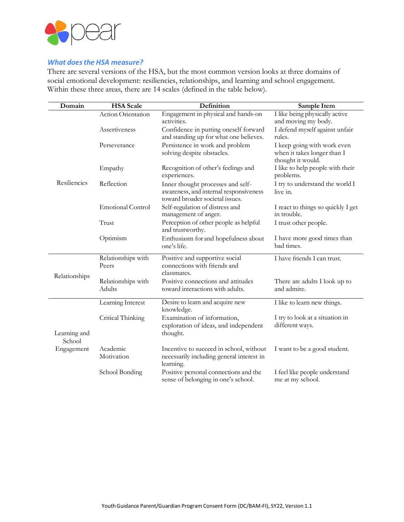

## *What doesthe HSA measure?*

There are several versions of the HSA, but the most common version looks at three domains of social emotional development: resiliencies, relationships, and learning and school engagement. Within these three areas, there are 14 scales (defined in the table below).

| Domain                 | <b>HSA</b> Scale             | Definition                                                                                                     | Sample Item                                                                     |  |
|------------------------|------------------------------|----------------------------------------------------------------------------------------------------------------|---------------------------------------------------------------------------------|--|
|                        | Action Orientation           | Engagement in physical and hands-on<br>activities.                                                             | I like being physically active<br>and moving my body.                           |  |
|                        | Assertiveness                | Confidence in putting oneself forward<br>and standing up for what one believes.                                | I defend myself against unfair<br>rules.                                        |  |
|                        | Perseverance                 | Persistence in work and problem<br>solving despite obstacles.                                                  | I keep going with work even<br>when it takes longer than I<br>thought it would. |  |
|                        | Empathy                      | Recognition of other's feelings and<br>experiences.                                                            | I like to help people with their<br>problems.                                   |  |
| Resiliencies           | Reflection                   | Inner thought processes and self-<br>awareness, and internal responsiveness<br>toward broader societal issues. | I try to understand the world I<br>live in.                                     |  |
|                        | <b>Emotional Control</b>     | Self-regulation of distress and<br>management of anger.                                                        | I react to things so quickly I get<br>in trouble.                               |  |
|                        | Trust                        | Perception of other people as helpful<br>and trustworthy.                                                      | I trust other people.                                                           |  |
|                        | Optimism                     | Enthusiasm for and hopefulness about<br>one's life.                                                            | I have more good times than<br>bad times.                                       |  |
|                        | Relationships with<br>Peers  | Positive and supportive social<br>connections with friends and<br>classmates.                                  | I have friends I can trust.                                                     |  |
| Relationships          | Relationships with<br>Adults | Positive connections and attitudes<br>toward interactions with adults.                                         | There are adults I look up to<br>and admire.                                    |  |
|                        | Learning Interest            | Desire to learn and acquire new<br>knowledge.                                                                  | I like to learn new things.                                                     |  |
| Learning and<br>School | Critical Thinking            | Examination of information,<br>exploration of ideas, and independent<br>thought.                               | I try to look at a situation in<br>different ways.                              |  |
| Engagement             | Academic<br>Motivation       | Incentive to succeed in school, without<br>necessarily including general interest in<br>learning.              | I want to be a good student.                                                    |  |
|                        | School Bonding               | Positive personal connections and the<br>sense of belonging in one's school.                                   | I feel like people understand<br>me at my school.                               |  |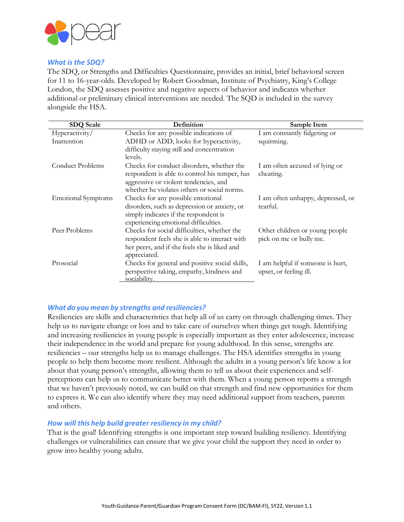

## *What is the SDQ?*

The SDQ, or Strengths and Difficulties Questionnaire, provides an initial, brief behavioral screen for 11 to 16-year-olds. Developed by Robert Goodman, Institute of Psychiatry, King's College London, the SDQ assesses positive and negative aspects of behavior and indicates whether additional or preliminary clinical interventions are needed. The SQD is included in the survey alongside the HSA.

| <b>SDQ Scale</b>          | Definition                                            | Sample Item                       |
|---------------------------|-------------------------------------------------------|-----------------------------------|
| Hyperactivity/            | Checks for any possible indications of                | I am constantly fidgeting or      |
| Inattention               | ADHD or ADD, looks for hyperactivity,                 | squirming.                        |
|                           | difficulty staying still and concentration<br>levels. |                                   |
| Conduct Problems          | Checks for conduct disorders, whether the             | I am often accused of lying or    |
|                           | respondent is able to control his temper, has         | cheating.                         |
|                           | aggressive or violent tendencies, and                 |                                   |
|                           | whether he violates others or social norms.           |                                   |
| <b>Emotional Symptoms</b> | Checks for any possible emotional                     | I am often unhappy, depressed, or |
|                           | disorders, such as depression or anxiety, or          | tearful.                          |
|                           | simply indicates if the respondent is                 |                                   |
|                           | experiencing emotional difficulties.                  |                                   |
| Peer Problems             | Checks for social difficulties, whether the           | Other children or young people    |
|                           | respondent feels she is able to interact with         | pick on me or bully me.           |
|                           | her peers, and if she feels she is liked and          |                                   |
|                           | appreciated.                                          |                                   |
| Prosocial                 | Checks for general and positive social skills,        | I am helpful if someone is hurt,  |
|                           | perspective taking, empathy, kindness and             | upset, or feeling ill.            |
|                           | sociability.                                          |                                   |

## *What do you mean by strengths and resiliencies?*

Resiliencies are skills and characteristics that help all of us carry on through challenging times. They help us to navigate change or loss and to take care of ourselves when things get tough. Identifying and increasing resiliencies in young people is especially important as they enter adolescence, increase their independence in the world and prepare for young adulthood. In this sense, strengths are resiliencies – our strengths help us to manage challenges. The HSA identifies strengths in young people to help them become more resilient. Although the adults in a young person's life know a lot about that young person's strengths, allowing them to tell us about their experiences and selfperceptions can help us to communicate better with them. When a young person reports a strength that we haven't previously noted, we can build on that strength and find new opportunities for them to express it. We can also identify where they may need additional support from teachers, parents and others.

## *How will this help build greater resiliency in my child?*

That is the goal! Identifying strengths is one important step toward building resiliency. Identifying challenges or vulnerabilities can ensure that we give your child the support they need in order to grow into healthy young adults.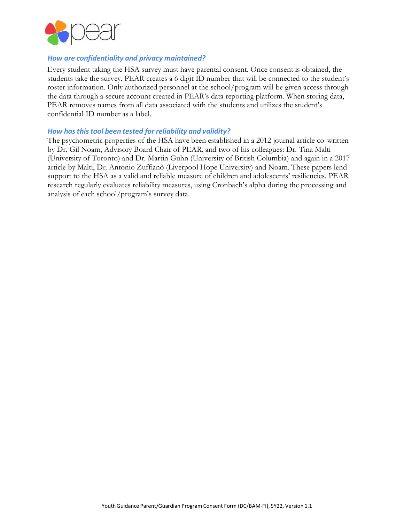

## *How are confidentiality and privacy maintained?*

Every student taking the HSA survey must have parental consent. Once consent is obtained, the students take the survey. PEAR creates a 6 digit ID number that will be connected to the student's roster information. Only authorized personnel at the school/program will be given access through the data through a secure account created in PEAR's data reporting platform. When storing data, PEAR removes names from all data associated with the students and utilizes the student's confidential ID number as a label.

#### *How hasthistool been tested for reliability and validity?*

The psychometric properties of the HSA have been established in a 2012 journal article co-written by Dr. Gil Noam, Advisory Board Chair of PEAR, and two of his colleagues: Dr. Tina Malti (University of Toronto) and Dr. Martin Guhn (University of British Columbia) and again in a 2017 article by Malti, Dr. Antonio Zuffianò (Liverpool Hope University) and Noam. These papers lend support to the HSA as a valid and reliable measure of children and adolescents' resiliencies. PEAR research regularly evaluates reliability measures, using Cronbach's alpha during the processing and analysis of each school/program's survey data.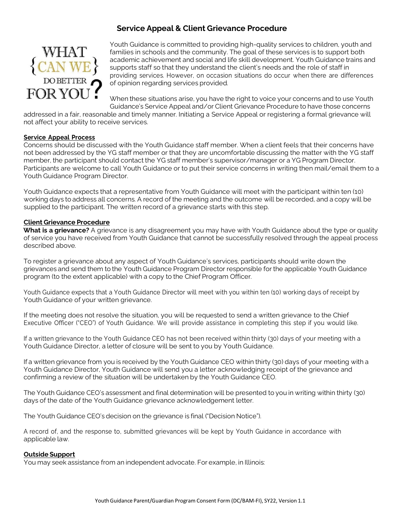## **Service Appeal & Client Grievance Procedure**



Youth Guidance is committed to providing high-quality services to children, youth and families in schools and the community. The goal of these services is to support both academic achievement and social and life skill development. Youth Guidance trains and supports staff so that they understand the client's needs and the role of staff in providing services. However, on occasion situations do occur when there are differences of opinion regarding services provided.

When these situations arise, you have the right to voice your concerns and to use Youth Guidance's Service Appeal and/or Client Grievance Procedure to have those concerns

addressed in a fair, reasonable and timely manner. Initiating a Service Appeal or registering a formal grievance will not affect your ability to receive services.

#### **Service Appeal Process**

Concerns should be discussed with the Youth Guidance staff member. When a client feels that their concerns have not been addressed by the YG staff member or that they are uncomfortable discussing the matter with the YG staff member, the participant should contact the YG staff member's supervisor/manager or a YG Program Director. Participants are welcome to call Youth Guidance or to put their service concerns in writing then mail/email them to a Youth Guidance Program Director.

Youth Guidance expects that a representative from Youth Guidance will meet with the participant within ten (10) working days to address all concerns. A record of the meeting and the outcome will be recorded, and a copy will be supplied to the participant. The written record of a grievance starts with this step.

#### **Client Grievance Procedure**

**What is a grievance?** A grievance is any disagreement you may have with Youth Guidance about the type or quality of service you have received from Youth Guidance that cannot be successfully resolved through the appeal process described above.

To register a grievance about any aspect of Youth Guidance's services, participants should write down the grievances and send them to the Youth Guidance Program Director responsible for the applicable Youth Guidance program (to the extent applicable) with a copy to the Chief Program Officer.

Youth Guidance expects that a Youth Guidance Director will meet with you within ten (10) working days of receipt by Youth Guidance of your written grievance.

If the meeting does not resolve the situation, you will be requested to send a written grievance to the Chief Executive Officer ("CEO") of Youth Guidance. We will provide assistance in completing this step if you would like.

If a written grievance to the Youth Guidance CEO has not been received within thirty (30) days of your meeting with a Youth Guidance Director, a letter of closure will be sent to you by Youth Guidance.

If a written grievance from you is received by the Youth Guidance CEO within thirty (30) days of your meeting with a Youth Guidance Director, Youth Guidance will send you a letter acknowledging receipt of the grievance and confirming a review of the situation will be undertaken by the Youth Guidance CEO.

The Youth Guidance CEO's assessment and final determination will be presented to you in writing within thirty (30) days of the date of the Youth Guidance grievance acknowledgement letter.

The Youth Guidance CEO's decision on the grievance is final ("Decision Notice").

A record of, and the response to, submitted grievances will be kept by Youth Guidance in accordance with applicable law.

#### **Outside Support**

You may seek assistance from an independent advocate. For example, in Illinois: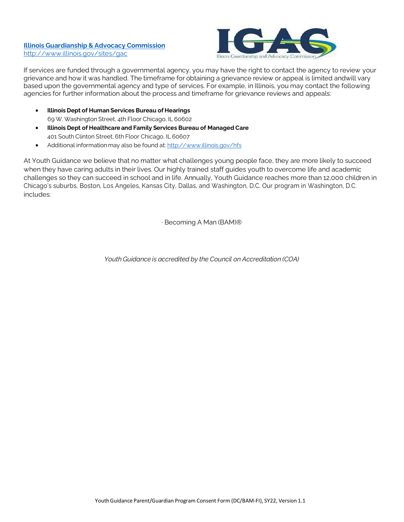#### **Illinois [Guardianship](https://www.illinois.gov/sites/gac/Pages/default.aspx) & Advocacy Commission** <http://www.illinois.gov/sites/gac>



If services are funded through a governmental agency, you may have the right to contact the agency to review your grievance and how it was handled. The timeframe for obtaining a grievance review or appeal is limited andwill vary based upon the governmental agency and type of services. For example, in Illinois, you may contact the following agencies for further information about the process and timeframe for grievance reviews and appeals:

- **Illinois Dept of Human Services Bureau of Hearings** 69 W. Washington Street, 4th Floor Chicago, IL 60602
- **Illinois Dept of Healthcare and Family Services Bureau of Managed Care** 401 South Clinton Street, 6th Floor Chicago, IL 60607
- Additional information may also be found at: <http://www.illinois.gov/hfs>

At Youth Guidance we believe that no matter what challenges young people face, they are more likely to succeed when they have caring adults in their lives. Our highly trained staff guides youth to overcome life and academic challenges so they can succeed in school and in life. Annually, Youth Guidance reaches more than 12,000 children in Chicago's suburbs, Boston, Los Angeles, Kansas City, Dallas, and Washington, D.C. Our program in Washington, D.C. includes:

· Becoming A Man (BAM)®

*YouthGuidance is accredited by the Council on Accreditation (COA)*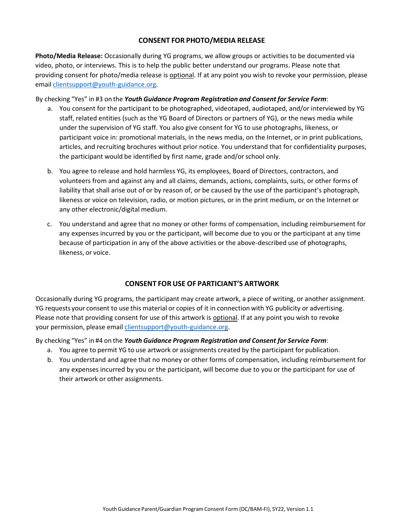## **CONSENT FOR PHOTO/MEDIA RELEASE**

**Photo/Media Release:** Occasionally during YG programs, we allow groups or activities to be documented via video, photo, or interviews. This is to help the public better understand our programs. Please note that providing consent for photo/media release is optional. If at any point you wish to revoke your permission, please email [clientsupport@youth-guidance.org.](mailto:clientsupport@youth-guidance.org)

By checking "Yes" in #3 on the *Youth Guidance Program Registration and Consent for Service Form*:

- a. You consent for the participant to be photographed, videotaped, audiotaped, and/or interviewed by YG staff, related entities (such as the YG Board of Directors or partners of YG), or the news media while under the supervision of YG staff. You also give consent for YG to use photographs, likeness, or participant voice in: promotional materials, in the news media, on the Internet, or in print publications, articles, and recruiting brochures without prior notice. You understand that for confidentiality purposes, the participant would be identified by first name, grade and/or school only.
- b. You agree to release and hold harmless YG, its employees, Board of Directors, contractors, and volunteers from and against any and all claims, demands, actions, complaints, suits, or other forms of liability that shall arise out of or by reason of, or be caused by the use of the participant's photograph, likeness or voice on television, radio, or motion pictures, or in the print medium, or on the Internet or any other electronic/digital medium.
- c. You understand and agree that no money or other forms of compensation, including reimbursement for any expenses incurred by you or the participant, will become due to you or the participant at any time because of participation in any of the above activities or the above-described use of photographs, likeness, or voice.

## **CONSENT FOR USE OF PARTICIANT'S ARTWORK**

Occasionally during YG programs, the participant may create artwork, a piece of writing, or another assignment. YG requests your consent to use this material or copies of it in connection with YG publicity or advertising. Please note that providing consent for use of this artwork is **optional**. If at any point you wish to revoke your permission, please email *clientsupport@youth-guidance.org*.

By checking "Yes" in #4 on the *Youth Guidance Program Registration and Consent for Service Form*:

- a. You agree to permit YG to use artwork or assignments created by the participant for publication.
- b. You understand and agree that no money or other forms of compensation, including reimbursement for any expenses incurred by you or the participant, will become due to you or the participant for use of their artwork or other assignments.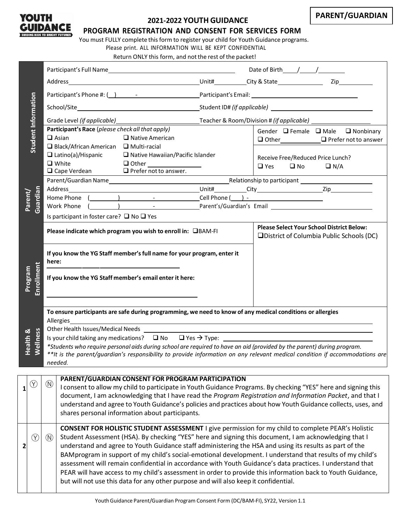

## **2021-2022 YOUTH GUIDANCE**

**PROGRAM REGISTRATION AND CONSENT FOR SERVICES FORM**

You must FULLY complete this form to register your child for Youth Guidance programs.

Please print. ALL INFORMATION WILL BE KEPT CONFIDENTIAL Return ONLY this form, and not the rest of the packet!

| Student Information                                                                                                                                       |             |                                                                                                                                                                                                          | Participant's Race (please check all that apply)                                                                                                                                                                          |                                                                                      |                                                                                               | Gender □ Female □ Male □ Nonbinary                                                                                          |
|-----------------------------------------------------------------------------------------------------------------------------------------------------------|-------------|----------------------------------------------------------------------------------------------------------------------------------------------------------------------------------------------------------|---------------------------------------------------------------------------------------------------------------------------------------------------------------------------------------------------------------------------|--------------------------------------------------------------------------------------|-----------------------------------------------------------------------------------------------|-----------------------------------------------------------------------------------------------------------------------------|
|                                                                                                                                                           |             |                                                                                                                                                                                                          | $\Box$ Asian                                                                                                                                                                                                              | $\Box$ Native American                                                               |                                                                                               |                                                                                                                             |
|                                                                                                                                                           |             |                                                                                                                                                                                                          | $\Box$ Black/African American $\Box$ Multi-racial                                                                                                                                                                         |                                                                                      |                                                                                               |                                                                                                                             |
|                                                                                                                                                           |             |                                                                                                                                                                                                          |                                                                                                                                                                                                                           | $\Box$ Latino(a)/Hispanic $\Box$ Native Hawaiian/Pacific Islander                    |                                                                                               | Receive Free/Reduced Price Lunch?                                                                                           |
|                                                                                                                                                           |             |                                                                                                                                                                                                          | $\Box$ White                                                                                                                                                                                                              |                                                                                      |                                                                                               | $\Box$ Yes $\Box$ No $\Box$ N/A                                                                                             |
|                                                                                                                                                           |             |                                                                                                                                                                                                          |                                                                                                                                                                                                                           | $\Box$ Cape Verdean $\Box$ Prefer not to answer.                                     |                                                                                               |                                                                                                                             |
|                                                                                                                                                           |             |                                                                                                                                                                                                          |                                                                                                                                                                                                                           |                                                                                      |                                                                                               |                                                                                                                             |
|                                                                                                                                                           | Guardian    |                                                                                                                                                                                                          |                                                                                                                                                                                                                           |                                                                                      |                                                                                               |                                                                                                                             |
| Parent/                                                                                                                                                   |             |                                                                                                                                                                                                          |                                                                                                                                                                                                                           |                                                                                      |                                                                                               |                                                                                                                             |
|                                                                                                                                                           |             |                                                                                                                                                                                                          |                                                                                                                                                                                                                           |                                                                                      |                                                                                               |                                                                                                                             |
|                                                                                                                                                           |             |                                                                                                                                                                                                          | Is participant in foster care? $\Box$ No $\Box$ Yes                                                                                                                                                                       |                                                                                      |                                                                                               |                                                                                                                             |
|                                                                                                                                                           |             | Please indicate which program you wish to enroll in: <b>QBAM-FI</b>                                                                                                                                      |                                                                                                                                                                                                                           |                                                                                      | <b>Please Select Your School District Below:</b><br>□District of Columbia Public Schools (DC) |                                                                                                                             |
|                                                                                                                                                           |             | If you know the YG Staff member's full name for your program, enter it<br>here:<br><u> 1990 - Johann John Stone, markin film yn y system yn y system yn y system yn y system yn y system yn y system</u> |                                                                                                                                                                                                                           |                                                                                      |                                                                                               |                                                                                                                             |
| Enrollment<br>Program                                                                                                                                     |             |                                                                                                                                                                                                          |                                                                                                                                                                                                                           | If you know the YG Staff member's email enter it here:                               |                                                                                               |                                                                                                                             |
|                                                                                                                                                           |             |                                                                                                                                                                                                          |                                                                                                                                                                                                                           |                                                                                      |                                                                                               | To ensure participants are safe during programming, we need to know of any medical conditions or allergies                  |
|                                                                                                                                                           |             |                                                                                                                                                                                                          |                                                                                                                                                                                                                           |                                                                                      |                                                                                               |                                                                                                                             |
|                                                                                                                                                           |             |                                                                                                                                                                                                          | Is your child taking any medications? $\square$ No $\square$ Yes $\rightarrow$ Type:                                                                                                                                      |                                                                                      |                                                                                               |                                                                                                                             |
| Wellness<br><b>Health &amp;</b><br>*Students who require personal aids during school are required to have an aid (provided by the parent) during program. |             |                                                                                                                                                                                                          |                                                                                                                                                                                                                           |                                                                                      |                                                                                               |                                                                                                                             |
|                                                                                                                                                           |             |                                                                                                                                                                                                          |                                                                                                                                                                                                                           |                                                                                      |                                                                                               | **It is the parent/guardian's responsibility to provide information on any relevant medical condition if accommodations are |
|                                                                                                                                                           |             |                                                                                                                                                                                                          | needed.                                                                                                                                                                                                                   |                                                                                      |                                                                                               |                                                                                                                             |
|                                                                                                                                                           |             |                                                                                                                                                                                                          |                                                                                                                                                                                                                           |                                                                                      |                                                                                               |                                                                                                                             |
|                                                                                                                                                           | $(\lambda)$ | $\circledR$                                                                                                                                                                                              |                                                                                                                                                                                                                           | PARENT/GUARDIAN CONSENT FOR PROGRAM PARTICIPATION                                    |                                                                                               |                                                                                                                             |
| 1                                                                                                                                                         |             |                                                                                                                                                                                                          | I consent to allow my child to participate in Youth Guidance Programs. By checking "YES" here and signing this                                                                                                            |                                                                                      |                                                                                               |                                                                                                                             |
|                                                                                                                                                           |             |                                                                                                                                                                                                          | document, I am acknowledging that I have read the Program Registration and Information Packet, and that I<br>understand and agree to Youth Guidance's policies and practices about how Youth Guidance collects, uses, and |                                                                                      |                                                                                               |                                                                                                                             |
|                                                                                                                                                           |             |                                                                                                                                                                                                          |                                                                                                                                                                                                                           | shares personal information about participants.                                      |                                                                                               |                                                                                                                             |
|                                                                                                                                                           |             |                                                                                                                                                                                                          |                                                                                                                                                                                                                           |                                                                                      |                                                                                               |                                                                                                                             |
|                                                                                                                                                           |             |                                                                                                                                                                                                          |                                                                                                                                                                                                                           |                                                                                      |                                                                                               | <b>CONSENT FOR HOLISTIC STUDENT ASSESSMENT I give permission for my child to complete PEAR's Holistic</b>                   |
|                                                                                                                                                           | $(\lambda)$ | $(\mathsf{N})$                                                                                                                                                                                           |                                                                                                                                                                                                                           |                                                                                      |                                                                                               | Student Assessment (HSA). By checking "YES" here and signing this document, I am acknowledging that I                       |
| 2                                                                                                                                                         |             |                                                                                                                                                                                                          |                                                                                                                                                                                                                           |                                                                                      |                                                                                               | understand and agree to Youth Guidance staff administering the HSA and using its results as part of the                     |
|                                                                                                                                                           |             |                                                                                                                                                                                                          | BAMprogram in support of my child's social-emotional development. I understand that results of my child's                                                                                                                 |                                                                                      |                                                                                               |                                                                                                                             |
|                                                                                                                                                           |             |                                                                                                                                                                                                          |                                                                                                                                                                                                                           |                                                                                      |                                                                                               | assessment will remain confidential in accordance with Youth Guidance's data practices. I understand that                   |
|                                                                                                                                                           |             |                                                                                                                                                                                                          |                                                                                                                                                                                                                           |                                                                                      |                                                                                               | PEAR will have access to my child's assessment in order to provide this information back to Youth Guidance,                 |
|                                                                                                                                                           |             |                                                                                                                                                                                                          |                                                                                                                                                                                                                           | but will not use this data for any other purpose and will also keep it confidential. |                                                                                               |                                                                                                                             |
|                                                                                                                                                           |             |                                                                                                                                                                                                          |                                                                                                                                                                                                                           |                                                                                      |                                                                                               |                                                                                                                             |